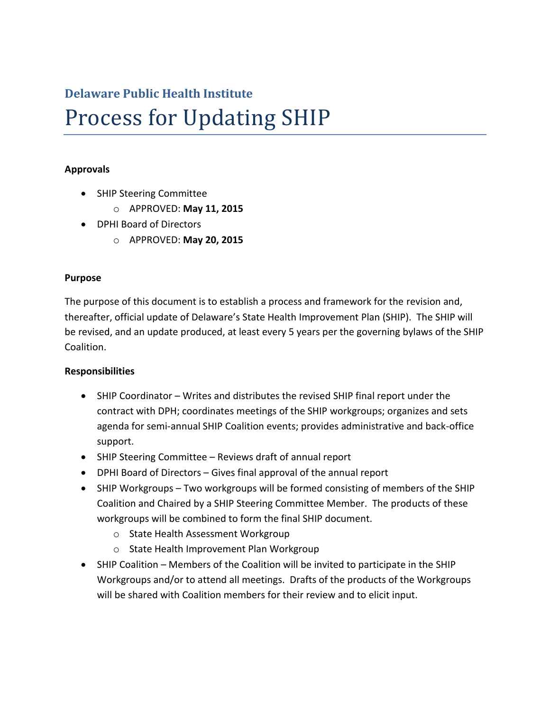# **Delaware Public Health Institute** Process for Updating SHIP

### **Approvals**

- SHIP Steering Committee
	- o APPROVED: **May 11, 2015**
- DPHI Board of Directors
	- o APPROVED: **May 20, 2015**

#### **Purpose**

The purpose of this document is to establish a process and framework for the revision and, thereafter, official update of Delaware's State Health Improvement Plan (SHIP). The SHIP will be revised, and an update produced, at least every 5 years per the governing bylaws of the SHIP Coalition.

#### **Responsibilities**

- SHIP Coordinator Writes and distributes the revised SHIP final report under the contract with DPH; coordinates meetings of the SHIP workgroups; organizes and sets agenda for semi-annual SHIP Coalition events; provides administrative and back-office support.
- SHIP Steering Committee Reviews draft of annual report
- DPHI Board of Directors Gives final approval of the annual report
- SHIP Workgroups Two workgroups will be formed consisting of members of the SHIP Coalition and Chaired by a SHIP Steering Committee Member. The products of these workgroups will be combined to form the final SHIP document.
	- o State Health Assessment Workgroup
	- o State Health Improvement Plan Workgroup
- SHIP Coalition Members of the Coalition will be invited to participate in the SHIP Workgroups and/or to attend all meetings. Drafts of the products of the Workgroups will be shared with Coalition members for their review and to elicit input.